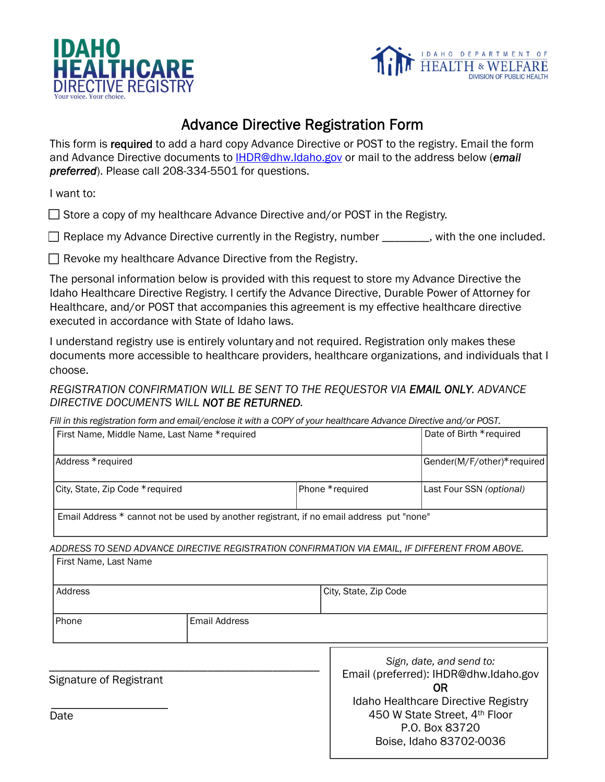



# Advance Directive Registration Form

This form is required to add a hard copy Advance Directive or POST to the registry. Email the form and Advance Directive documents to IHDR@dhw.Idaho.gov or mail to the address below (*email preferred*). Please call 208-334-5501 for questions.

I want to:

 $\Box$  Store a copy of my healthcare Advance Directive and/or POST in the Registry.

□ Replace my Advance Directive currently in the Registry, number \_\_\_\_\_\_\_, with the one included.

 $\Box$  Revoke my healthcare Advance Directive from the Registry.

The personal information below is provided with this request to store my Advance Directive the Idaho Healthcare Directive Registry. I certify the Advance Directive, Durable Power of Attorney for Healthcare, and/or POST that accompanies this agreement is my effective healthcare directive executed in accordance with State of Idaho laws.

I understand registry use is entirely voluntary and not required. Registration only makes these documents more accessible to healthcare providers, healthcare organizations, and individuals that I choose.

*REGISTRATION CONFIRMATION WILL BE SENT TO THE REQUESTOR VIA EMAIL ONLY. ADVANCE DIRECTIVE DOCUMENTS WILL NOT BE RETURNED.* 

*Fill in this registration form and email/enclose it with a COPY of your healthcare Advance Directive and/or POST.*

| First Name, Middle Name, Last Name *required                                             |                 | Date of Birth *required    |
|------------------------------------------------------------------------------------------|-----------------|----------------------------|
| Address *required                                                                        |                 | Gender(M/F/other)*required |
| City, State, Zip Code * required                                                         | Phone *required | Last Four SSN (optional)   |
| Email Address * cannot not be used by another registrant, if no email address put "none" |                 |                            |

*ADDRESS TO SEND ADVANCE DIRECTIVE REGISTRATION CONFIRMATION VIA EMAIL, IF DIFFERENT FROM ABOVE.* 

| First Name, Last Name   |                      |                                                                                                                   |
|-------------------------|----------------------|-------------------------------------------------------------------------------------------------------------------|
| Address                 |                      | City, State, Zip Code                                                                                             |
| Phone                   | <b>Email Address</b> |                                                                                                                   |
| Signature of Registrant |                      | Sign, date, and send to:<br>Email (preferred): IHDR@dhw.Idaho.gov<br>ΟR                                           |
| Date                    |                      | Idaho Healthcare Directive Registry<br>450 W State Street, 4th Floor<br>P.O. Box 83720<br>Boise, Idaho 83702-0036 |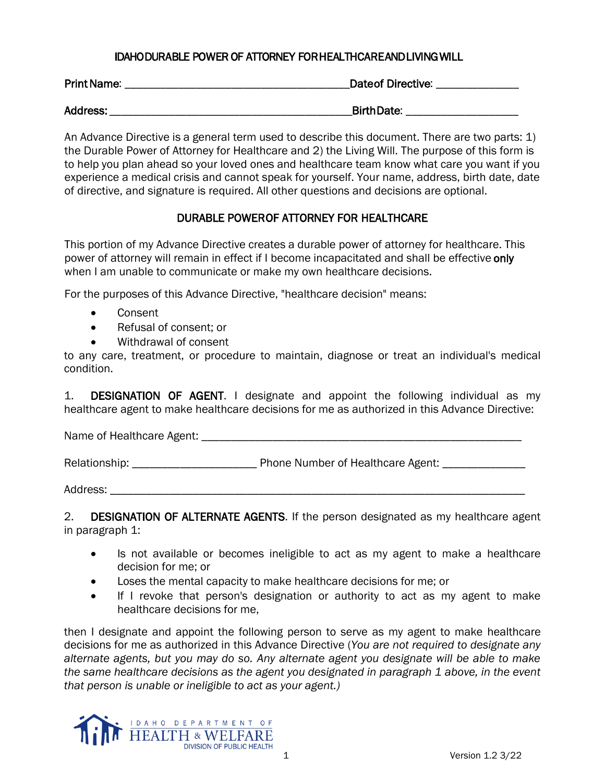## IDAHO DURABLE POWER OF ATTORNEY FOR HEALTHCARE AND LIVING WILL

| <b>Print Name:</b> | <b>Dateof Directive:</b> |
|--------------------|--------------------------|
| Address:           | <b>BirthDate:</b>        |

An Advance Directive is a general term used to describe this document. There are two parts: 1) the Durable Power of Attorney for Healthcare and 2) the Living Will. The purpose of this form is to help you plan ahead so your loved ones and healthcare team know what care you want if you experience a medical crisis and cannot speak for yourself. Your name, address, birth date, date of directive, and signature is required. All other questions and decisions are optional.

## DURABLE POWER OF ATTORNEY FOR HEALTHCARE

This portion of my Advance Directive creates a durable power of attorney for healthcare. This power of attorney will remain in effect if I become incapacitated and shall be effective only when I am unable to communicate or make my own healthcare decisions.

For the purposes of this Advance Directive, "healthcare decision" means:

- Consent
- Refusal of consent; or
- Withdrawal of consent

to any care, treatment, or procedure to maintain, diagnose or treat an individual's medical condition.

1. **DESIGNATION OF AGENT.** I designate and appoint the following individual as my healthcare agent to make healthcare decisions for me as authorized in this Advance Directive:

Name of Healthcare Agent: \_\_\_\_\_\_\_\_\_\_\_\_\_\_\_\_\_\_\_\_\_\_\_\_\_\_\_\_\_\_\_\_\_\_\_\_\_\_\_\_\_\_\_\_\_\_\_\_\_\_\_\_\_\_

Relationship: \_\_\_\_\_\_\_\_\_\_\_\_\_\_\_\_\_\_\_\_\_ Phone Number of Healthcare Agent: \_\_\_\_\_\_\_\_\_\_\_\_\_\_

Address:

2. DESIGNATION OF ALTERNATE AGENTS. If the person designated as my healthcare agent in paragraph 1:

- Is not available or becomes ineligible to act as my agent to make a healthcare decision for me; or
- Loses the mental capacity to make healthcare decisions for me; or
- If I revoke that person's designation or authority to act as my agent to make healthcare decisions for me,

then I designate and appoint the following person to serve as my agent to make healthcare decisions for me as authorized in this Advance Directive (*You are not required to designate any alternate agents, but you may do so. Any alternate agent you designate will be able to make the same healthcare decisions as the agent you designated in paragraph 1 above, in the event that person is unable or ineligible to act as your agent.)*

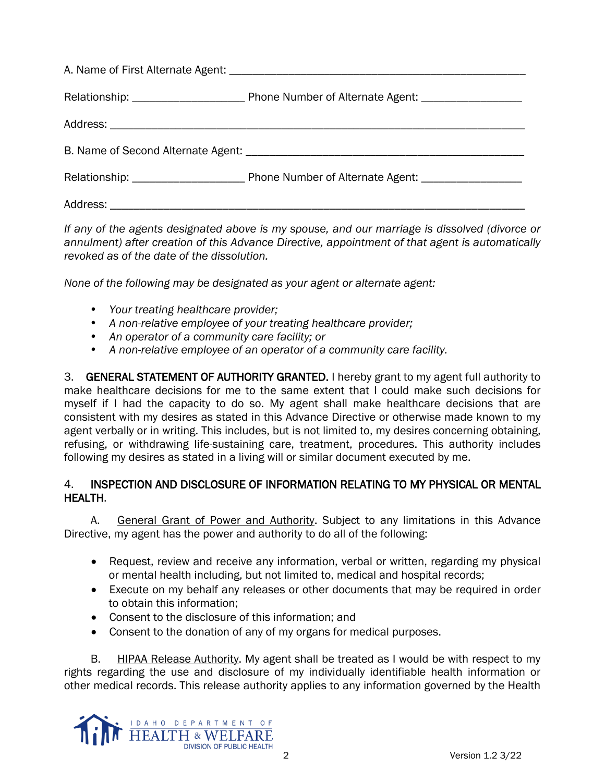*If any of the agents designated above is my spouse, and our marriage is dissolved (divorce or annulment) after creation of this Advance Directive, appointment of that agent is automatically revoked as of the date of the dissolution.*

*None of the following may be designated as your agent or alternate agent:* 

- *Your treating healthcare provider;*
- *A non-relative employee of your treating healthcare provider;*
- *An operator of a community care facility; or*
- *A non-relative employee of an operator of a community care facility.*

3. GENERAL STATEMENT OF AUTHORITY GRANTED. I hereby grant to my agent full authority to make healthcare decisions for me to the same extent that I could make such decisions for myself if I had the capacity to do so. My agent shall make healthcare decisions that are consistent with my desires as stated in this Advance Directive or otherwise made known to my agent verbally or in writing. This includes, but is not limited to, my desires concerning obtaining, refusing, or withdrawing life-sustaining care, treatment, procedures. This authority includes following my desires as stated in a living will or similar document executed by me.

## 4. INSPECTION AND DISCLOSURE OF INFORMATION RELATING TO MY PHYSICAL OR MENTAL HEALTH.

A. General Grant of Power and Authority. Subject to any limitations in this Advance Directive, my agent has the power and authority to do all of the following:

- Request, review and receive any information, verbal or written, regarding my physical or mental health including, but not limited to, medical and hospital records;
- Execute on my behalf any releases or other documents that may be required in order to obtain this information;
- Consent to the disclosure of this information; and
- Consent to the donation of any of my organs for medical purposes.

B. HIPAA Release Authority. My agent shall be treated as I would be with respect to my rights regarding the use and disclosure of my individually identifiable health information or other medical records. This release authority applies to any information governed by the Health

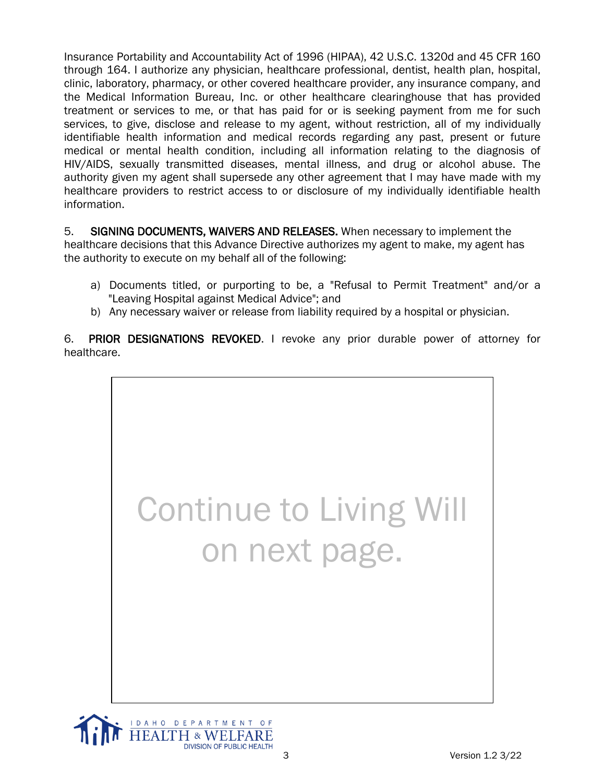Insurance Portability and Accountability Act of 1996 (HIPAA), 42 U.S.C. 1320d and 45 CFR 160 through 164. I authorize any physician, healthcare professional, dentist, health plan, hospital, clinic, laboratory, pharmacy, or other covered healthcare provider, any insurance company, and the Medical Information Bureau, Inc. or other healthcare clearinghouse that has provided treatment or services to me, or that has paid for or is seeking payment from me for such services, to give, disclose and release to my agent, without restriction, all of my individually identifiable health information and medical records regarding any past, present or future medical or mental health condition, including all information relating to the diagnosis of HIV/AIDS, sexually transmitted diseases, mental illness, and drug or alcohol abuse. The authority given my agent shall supersede any other agreement that I may have made with my healthcare providers to restrict access to or disclosure of my individually identifiable health information.

5. SIGNING DOCUMENTS, WAIVERS AND RELEASES. When necessary to implement the healthcare decisions that this Advance Directive authorizes my agent to make, my agent has the authority to execute on my behalf all of the following:

- a) Documents titled, or purporting to be, a "Refusal to Permit Treatment" and/or a "Leaving Hospital against Medical Advice"; and
- b) Any necessary waiver or release from liability required by a hospital or physician.

6. PRIOR DESIGNATIONS REVOKED. I revoke any prior durable power of attorney for healthcare.



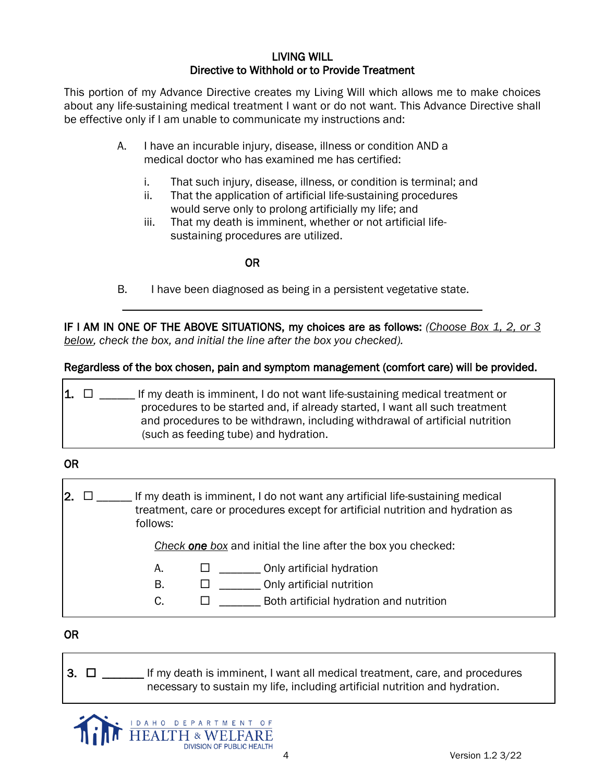### LIVING WILL Directive to Withhold or to Provide Treatment

This portion of my Advance Directive creates my Living Will which allows me to make choices about any life-sustaining medical treatment I want or do not want. This Advance Directive shall be effective only if I am unable to communicate my instructions and:

- A. I have an incurable injury, disease, illness or condition AND a medical doctor who has examined me has certified:
	- i. That such injury, disease, illness, or condition is terminal; and
	- ii. That the application of artificial life-sustaining procedures would serve only to prolong artificially my life; and
	- iii. That my death is imminent, whether or not artificial lifesustaining procedures are utilized.

#### OR

B. I have been diagnosed as being in a persistent vegetative state.

IF I AM IN ONE OF THE ABOVE SITUATIONS, my choices are as follows: *(Choose Box 1, 2, or 3 below, check the box, and initial the line after the box you checked).* 

\_\_\_\_\_\_\_\_\_\_\_\_\_\_\_\_\_\_\_\_\_\_\_\_\_\_\_\_\_\_\_\_\_\_\_\_\_\_\_\_\_\_\_\_\_\_\_\_\_\_\_\_\_\_\_\_\_\_\_\_\_\_\_\_\_\_\_\_\_\_\_\_\_\_\_\_\_\_\_\_\_\_\_\_\_\_\_\_\_\_\_

#### Regardless of the box chosen, pain and symptom management (comfort care) will be provided.

**1.**  $\Box$  If my death is imminent, I do not want life-sustaining medical treatment or procedures to be started and, if already started, I want all such treatment and procedures to be withdrawn, including withdrawal of artificial nutrition (such as feeding tube) and hydration.

## OR

2.  $\Box$  \_\_\_\_\_ If my death is imminent, I do not want any artificial life-sustaining medical treatment, care or procedures except for artificial nutrition and hydration as follows:

*Check one box* and initial the line after the box you checked:

- A.  $\Box$  \_\_\_\_\_\_\_\_\_ Only artificial hydration
- $B.$   $\Box$  \_\_\_\_\_\_\_\_\_\_ Only artificial nutrition
- $C.$   $\square$  Both artificial hydration and nutrition

OR

 $3. \Box$  \_\_\_\_\_\_\_ If my death is imminent, I want all medical treatment, care, and procedures necessary to sustain my life, including artificial nutrition and hydration.

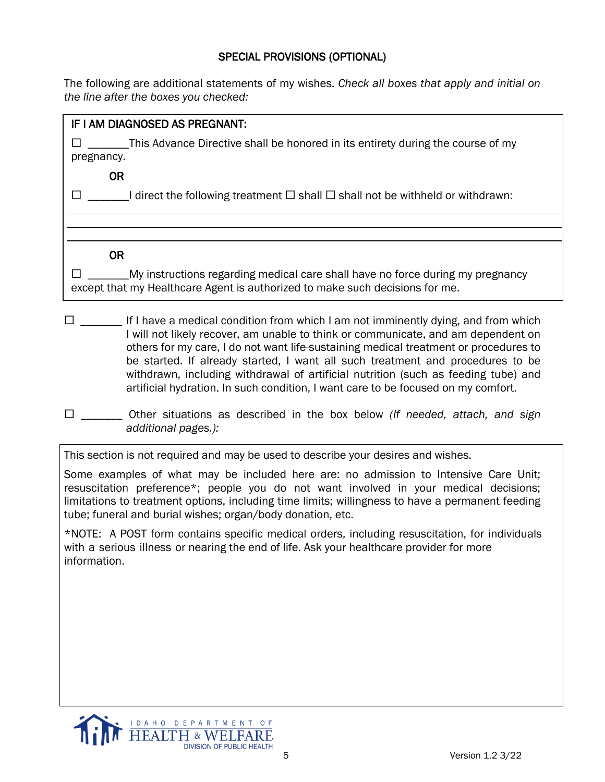# SPECIAL PROVISIONS (OPTIONAL)

The following are additional statements of my wishes. *Check all boxes that apply and initial on the line after the boxes you checked:*

# IF I AM DIAGNOSED AS PREGNANT:

 $\square$  \_\_\_\_\_\_\_\_This Advance Directive shall be honored in its entirety during the course of my pregnancy.

OR

 $\square$  \_\_\_\_\_\_I direct the following treatment  $\square$  shall  $\square$  shall not be withheld or withdrawn:

OR

 $\square$  \_\_\_\_\_\_\_\_\_My instructions regarding medical care shall have no force during my pregnancy except that my Healthcare Agent is authorized to make such decisions for me.

 $\square$  \_\_\_\_\_\_ If I have a medical condition from which I am not imminently dying, and from which I will not likely recover, am unable to think or communicate, and am dependent on others for my care, I do not want life-sustaining medical treatment or procedures to be started. If already started, I want all such treatment and procedures to be withdrawn, including withdrawal of artificial nutrition (such as feeding tube) and artificial hydration. In such condition, I want care to be focused on my comfort.

This section is not required and may be used to describe your desires and wishes.

Some examples of what may be included here are: no admission to Intensive Care Unit; resuscitation preference\*; people you do not want involved in your medical decisions; limitations to treatment options, including time limits; willingness to have a permanent feeding tube; funeral and burial wishes; organ/body donation, etc.

\*NOTE: A POST form contains specific medical orders, including resuscitation, for individuals with a serious illness or nearing the end of life. Ask your healthcare provider for more information.



\_\_\_\_\_\_\_ Other situations as described in the box below *(If needed, attach, and sign additional pages.):*